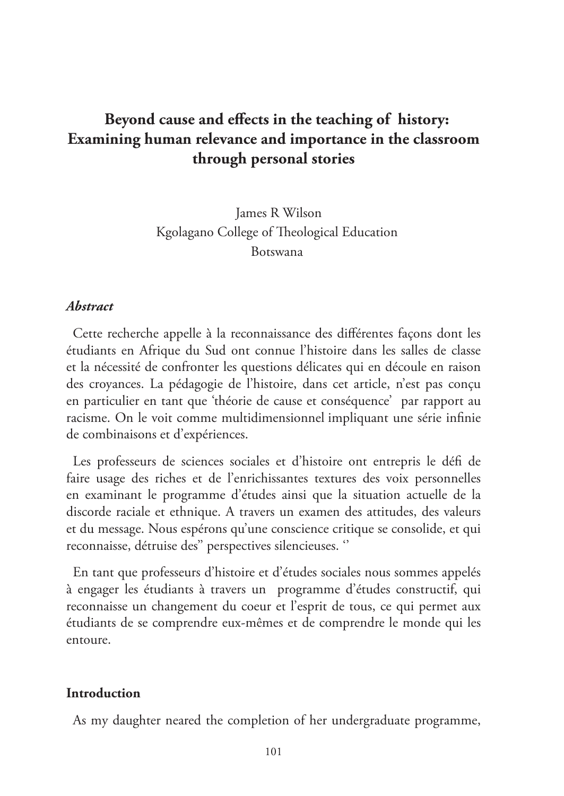# **Beyond cause and effects in the teaching of history: Examining human relevance and importance in the classroom through personal stories**

 James R Wilson Kgolagano College of Theological Education Botswana

### *Abstract*

Cette recherche appelle à la reconnaissance des différentes façons dont les étudiants en Afrique du Sud ont connue l'histoire dans les salles de classe et la nécessité de confronter les questions délicates qui en découle en raison des croyances. La pédagogie de l'histoire, dans cet article, n'est pas conçu en particulier en tant que 'théorie de cause et conséquence' par rapport au racisme. On le voit comme multidimensionnel impliquant une série infinie de combinaisons et d'expériences.

Les professeurs de sciences sociales et d'histoire ont entrepris le défi de faire usage des riches et de l'enrichissantes textures des voix personnelles en examinant le programme d'études ainsi que la situation actuelle de la discorde raciale et ethnique. A travers un examen des attitudes, des valeurs et du message. Nous espérons qu'une conscience critique se consolide, et qui reconnaisse, détruise des'' perspectives silencieuses. ''

En tant que professeurs d'histoire et d'études sociales nous sommes appelés à engager les étudiants à travers un programme d'études constructif, qui reconnaisse un changement du coeur et l'esprit de tous, ce qui permet aux étudiants de se comprendre eux-mêmes et de comprendre le monde qui les entoure.

#### **Introduction**

As my daughter neared the completion of her undergraduate programme,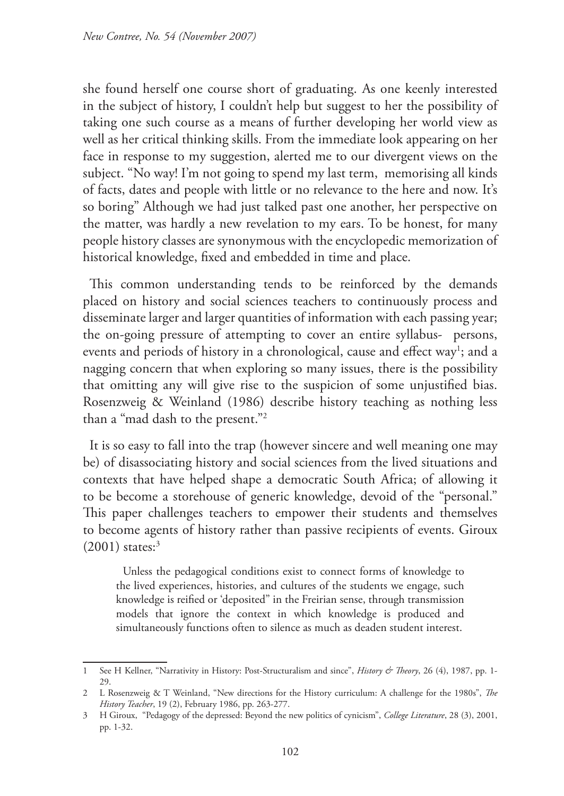she found herself one course short of graduating. As one keenly interested in the subject of history, I couldn't help but suggest to her the possibility of taking one such course as a means of further developing her world view as well as her critical thinking skills. From the immediate look appearing on her face in response to my suggestion, alerted me to our divergent views on the subject. "No way! I'm not going to spend my last term, memorising all kinds of facts, dates and people with little or no relevance to the here and now. It's so boring" Although we had just talked past one another, her perspective on the matter, was hardly a new revelation to my ears. To be honest, for many people history classes are synonymous with the encyclopedic memorization of historical knowledge, fixed and embedded in time and place.

This common understanding tends to be reinforced by the demands placed on history and social sciences teachers to continuously process and disseminate larger and larger quantities of information with each passing year; the on-going pressure of attempting to cover an entire syllabus- persons, events and periods of history in a chronological, cause and effect way<sup>1</sup>; and a nagging concern that when exploring so many issues, there is the possibility that omitting any will give rise to the suspicion of some unjustified bias. Rosenzweig & Weinland (1986) describe history teaching as nothing less than a "mad dash to the present."2

It is so easy to fall into the trap (however sincere and well meaning one may be) of disassociating history and social sciences from the lived situations and contexts that have helped shape a democratic South Africa; of allowing it to be become a storehouse of generic knowledge, devoid of the "personal." This paper challenges teachers to empower their students and themselves to become agents of history rather than passive recipients of events. Giroux  $(2001)$  states:<sup>3</sup>

Unless the pedagogical conditions exist to connect forms of knowledge to the lived experiences, histories, and cultures of the students we engage, such knowledge is reified or 'deposited" in the Freirian sense, through transmission models that ignore the context in which knowledge is produced and simultaneously functions often to silence as much as deaden student interest.

<sup>1</sup> See H Kellner, "Narrativity in History: Post-Structuralism and since", *History & Theory*, 26 (4), 1987, pp. 1- 29.

<sup>2</sup> L Rosenzweig & T Weinland, "New directions for the History curriculum: A challenge for the 1980s", *The History Teacher*, 19 (2), February 1986, pp. 263-277.

<sup>3</sup> H Giroux, "Pedagogy of the depressed: Beyond the new politics of cynicism", *College Literature*, 28 (3), 2001, pp. 1-32.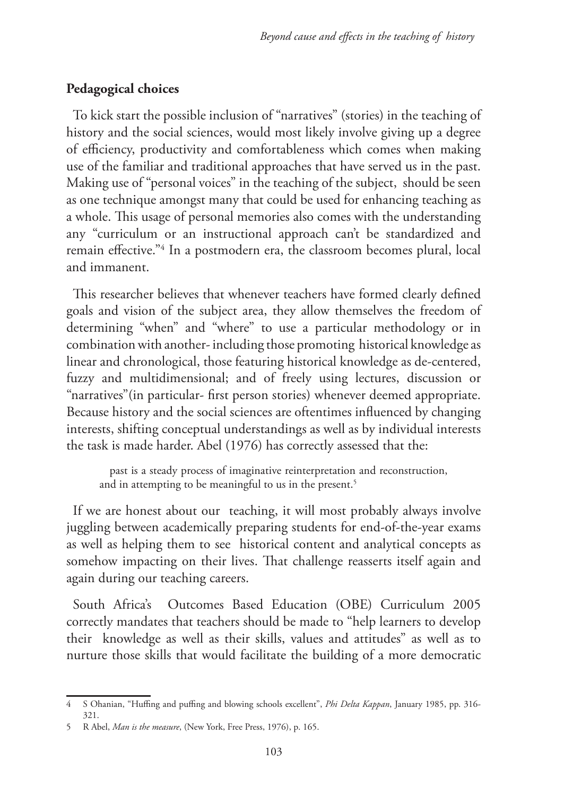## **Pedagogical choices**

To kick start the possible inclusion of "narratives" (stories) in the teaching of history and the social sciences, would most likely involve giving up a degree of efficiency, productivity and comfortableness which comes when making use of the familiar and traditional approaches that have served us in the past. Making use of "personal voices" in the teaching of the subject, should be seen as one technique amongst many that could be used for enhancing teaching as a whole. This usage of personal memories also comes with the understanding any "curriculum or an instructional approach can't be standardized and remain effective."4 In a postmodern era, the classroom becomes plural, local and immanent.

This researcher believes that whenever teachers have formed clearly defined goals and vision of the subject area, they allow themselves the freedom of determining "when" and "where" to use a particular methodology or in combination with another- including those promoting historical knowledge as linear and chronological, those featuring historical knowledge as de-centered, fuzzy and multidimensional; and of freely using lectures, discussion or "narratives"(in particular- first person stories) whenever deemed appropriate. Because history and the social sciences are oftentimes influenced by changing interests, shifting conceptual understandings as well as by individual interests the task is made harder. Abel (1976) has correctly assessed that the:

 past is a steady process of imaginative reinterpretation and reconstruction, and in attempting to be meaningful to us in the present.<sup>5</sup>

If we are honest about our teaching, it will most probably always involve juggling between academically preparing students for end-of-the-year exams as well as helping them to see historical content and analytical concepts as somehow impacting on their lives. That challenge reasserts itself again and again during our teaching careers.

South Africa's Outcomes Based Education (OBE) Curriculum 2005 correctly mandates that teachers should be made to "help learners to develop their knowledge as well as their skills, values and attitudes" as well as to nurture those skills that would facilitate the building of a more democratic

<sup>4</sup> S Ohanian, "Huffing and puffing and blowing schools excellent", *Phi Delta Kappan*, January 1985, pp. 316- 321.

<sup>5</sup> R Abel, *Man is the measure*, (New York, Free Press, 1976), p. 165.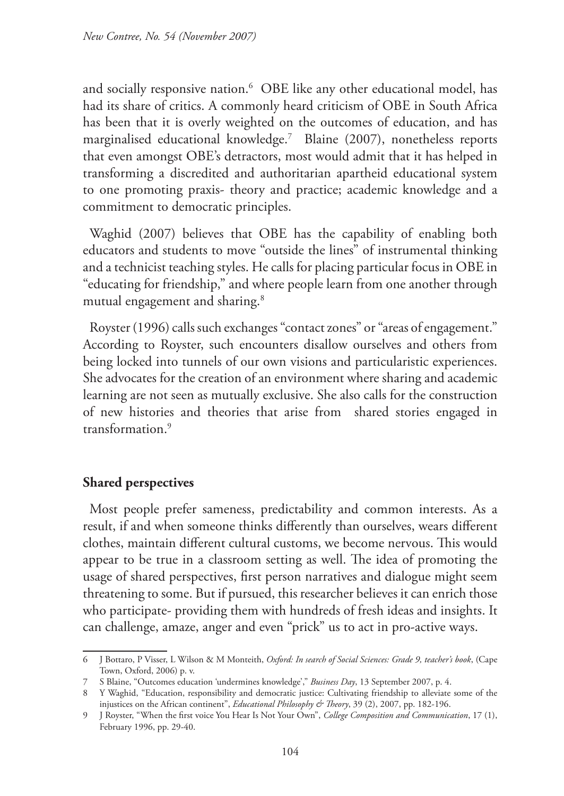and socially responsive nation.6 OBE like any other educational model, has had its share of critics. A commonly heard criticism of OBE in South Africa has been that it is overly weighted on the outcomes of education, and has marginalised educational knowledge.7 Blaine (2007), nonetheless reports that even amongst OBE's detractors, most would admit that it has helped in transforming a discredited and authoritarian apartheid educational system to one promoting praxis- theory and practice; academic knowledge and a commitment to democratic principles.

Waghid (2007) believes that OBE has the capability of enabling both educators and students to move "outside the lines" of instrumental thinking and a technicist teaching styles. He calls for placing particular focus in OBE in "educating for friendship," and where people learn from one another through mutual engagement and sharing.<sup>8</sup>

Royster (1996) calls such exchanges "contact zones" or "areas of engagement." According to Royster, such encounters disallow ourselves and others from being locked into tunnels of our own visions and particularistic experiences. She advocates for the creation of an environment where sharing and academic learning are not seen as mutually exclusive. She also calls for the construction of new histories and theories that arise from shared stories engaged in transformation.9

# **Shared perspectives**

Most people prefer sameness, predictability and common interests. As a result, if and when someone thinks differently than ourselves, wears different clothes, maintain different cultural customs, we become nervous. This would appear to be true in a classroom setting as well. The idea of promoting the usage of shared perspectives, first person narratives and dialogue might seem threatening to some. But if pursued, this researcher believes it can enrich those who participate- providing them with hundreds of fresh ideas and insights. It can challenge, amaze, anger and even "prick" us to act in pro-active ways.

<sup>6</sup> J Bottaro, P Visser, L Wilson & M Monteith, *Oxford: In search of Social Sciences: Grade 9, teacher's book*, (Cape Town, Oxford, 2006) p. v.

<sup>7</sup> S Blaine, "Outcomes education 'undermines knowledge'," *Business Day*, 13 September 2007, p. 4.

<sup>8</sup> Y Waghid, "Education, responsibility and democratic justice: Cultivating friendship to alleviate some of the injustices on the African continent", *Educational Philosophy & Theory*, 39 (2), 2007, pp. 182-196.

<sup>9</sup> J Royster, "When the first voice You Hear Is Not Your Own", *College Composition and Communication*, 17 (1), February 1996, pp. 29-40.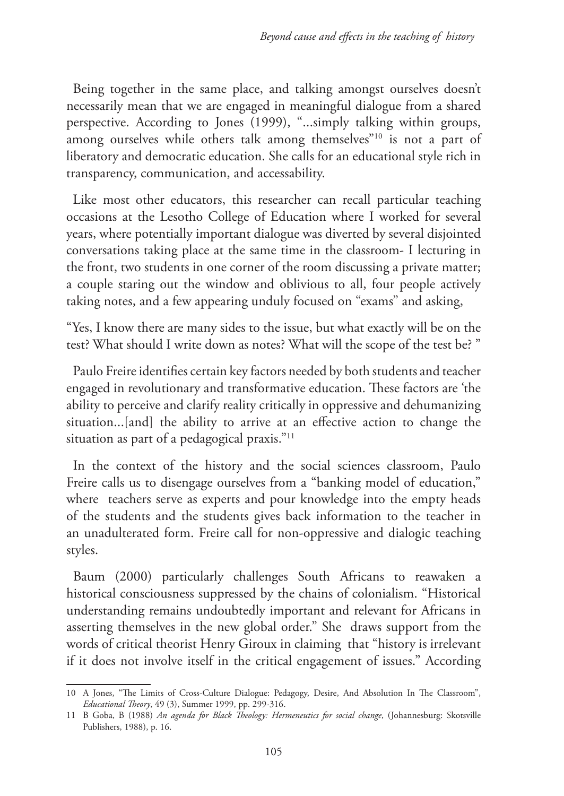Being together in the same place, and talking amongst ourselves doesn't necessarily mean that we are engaged in meaningful dialogue from a shared perspective. According to Jones (1999), "...simply talking within groups, among ourselves while others talk among themselves"<sup>10</sup> is not a part of liberatory and democratic education. She calls for an educational style rich in transparency, communication, and accessability.

Like most other educators, this researcher can recall particular teaching occasions at the Lesotho College of Education where I worked for several years, where potentially important dialogue was diverted by several disjointed conversations taking place at the same time in the classroom- I lecturing in the front, two students in one corner of the room discussing a private matter; a couple staring out the window and oblivious to all, four people actively taking notes, and a few appearing unduly focused on "exams" and asking,

"Yes, I know there are many sides to the issue, but what exactly will be on the test? What should I write down as notes? What will the scope of the test be? "

Paulo Freire identifies certain key factors needed by both students and teacher engaged in revolutionary and transformative education. These factors are 'the ability to perceive and clarify reality critically in oppressive and dehumanizing situation...[and] the ability to arrive at an effective action to change the situation as part of a pedagogical praxis."11

In the context of the history and the social sciences classroom, Paulo Freire calls us to disengage ourselves from a "banking model of education," where teachers serve as experts and pour knowledge into the empty heads of the students and the students gives back information to the teacher in an unadulterated form. Freire call for non-oppressive and dialogic teaching styles.

Baum (2000) particularly challenges South Africans to reawaken a historical consciousness suppressed by the chains of colonialism. "Historical understanding remains undoubtedly important and relevant for Africans in asserting themselves in the new global order." She draws support from the words of critical theorist Henry Giroux in claiming that "history is irrelevant if it does not involve itself in the critical engagement of issues." According

<sup>10</sup> A Jones, "The Limits of Cross-Culture Dialogue: Pedagogy, Desire, And Absolution In The Classroom", *Educational Theory*, 49 (3), Summer 1999, pp. 299-316.

<sup>11</sup> B Goba, B (1988) *An agenda for Black Theology: Hermeneutics for social change*, (Johannesburg: Skotsville Publishers, 1988), p. 16.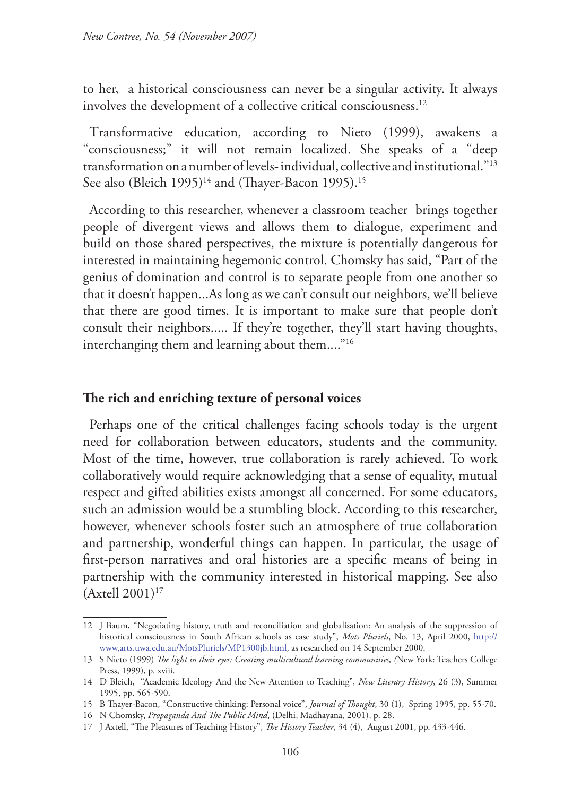to her, a historical consciousness can never be a singular activity. It always involves the development of a collective critical consciousness.<sup>12</sup>

Transformative education, according to Nieto (1999), awakens a "consciousness;" it will not remain localized. She speaks of a "deep transformation on a number of levels- individual, collective and institutional."13 See also (Bleich 1995)<sup>14</sup> and (Thayer-Bacon 1995).<sup>15</sup>

According to this researcher, whenever a classroom teacher brings together people of divergent views and allows them to dialogue, experiment and build on those shared perspectives, the mixture is potentially dangerous for interested in maintaining hegemonic control. Chomsky has said, "Part of the genius of domination and control is to separate people from one another so that it doesn't happen...As long as we can't consult our neighbors, we'll believe that there are good times. It is important to make sure that people don't consult their neighbors..... If they're together, they'll start having thoughts, interchanging them and learning about them...."16

### **The rich and enriching texture of personal voices**

Perhaps one of the critical challenges facing schools today is the urgent need for collaboration between educators, students and the community. Most of the time, however, true collaboration is rarely achieved. To work collaboratively would require acknowledging that a sense of equality, mutual respect and gifted abilities exists amongst all concerned. For some educators, such an admission would be a stumbling block. According to this researcher, however, whenever schools foster such an atmosphere of true collaboration and partnership, wonderful things can happen. In particular, the usage of first-person narratives and oral histories are a specific means of being in partnership with the community interested in historical mapping. See also  $(Ax$ tell 2001)<sup>17</sup>

<sup>12</sup> J Baum, "Negotiating history, truth and reconciliation and globalisation: An analysis of the suppression of historical consciousness in South African schools as case study", Mots Pluriels, No. 13, April 2000, http:// www,arts.uwa.edu.au/MotsPluriels/MP1300jb.html, as researched on 14 September 2000.

<sup>13</sup> S Nieto (1999) *The light in their eyes: Creating multicultural learning communities, (*New York: Teachers College Press, 1999), p. xviii.

<sup>14</sup> D Bleich, "Academic Ideology And the New Attention to Teaching"*, New Literary History*, 26 (3), Summer 1995, pp. 565-590.

<sup>15</sup> B Thayer-Bacon, "Constructive thinking: Personal voice", *Journal of Thought*, 30 (1), Spring 1995, pp. 55-70.

<sup>16</sup> N Chomsky, *Propaganda And The Public Mind*, (Delhi, Madhayana, 2001), p. 28.

<sup>17</sup> J Axtell, "The Pleasures of Teaching History", *The History Teacher*, 34 (4), August 2001, pp. 433-446.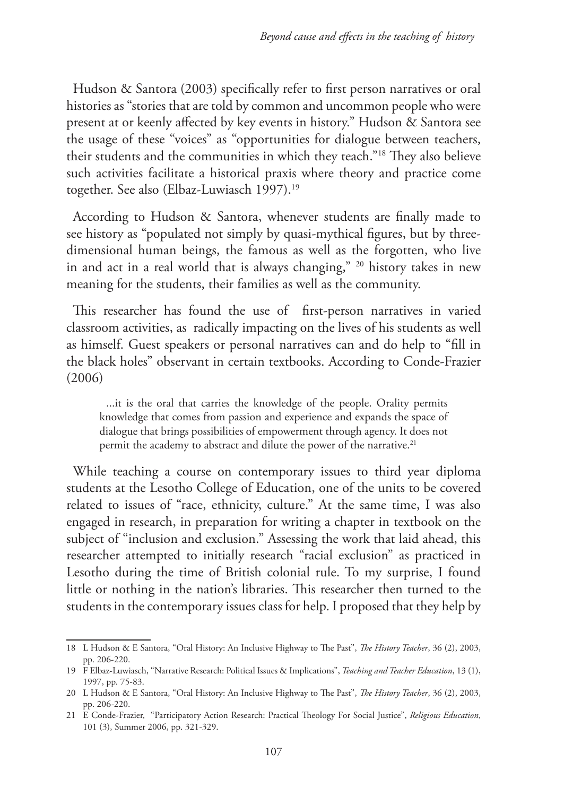Hudson & Santora (2003) specifically refer to first person narratives or oral histories as "stories that are told by common and uncommon people who were present at or keenly affected by key events in history." Hudson & Santora see the usage of these "voices" as "opportunities for dialogue between teachers, their students and the communities in which they teach."18 They also believe such activities facilitate a historical praxis where theory and practice come together. See also (Elbaz-Luwiasch 1997).<sup>19</sup>

According to Hudson & Santora, whenever students are finally made to see history as "populated not simply by quasi-mythical figures, but by threedimensional human beings, the famous as well as the forgotten, who live in and act in a real world that is always changing," 20 history takes in new meaning for the students, their families as well as the community.

This researcher has found the use of first-person narratives in varied classroom activities, as radically impacting on the lives of his students as well as himself. Guest speakers or personal narratives can and do help to "fill in the black holes" observant in certain textbooks. According to Conde-Frazier (2006)

...it is the oral that carries the knowledge of the people. Orality permits knowledge that comes from passion and experience and expands the space of dialogue that brings possibilities of empowerment through agency. It does not permit the academy to abstract and dilute the power of the narrative.<sup>21</sup>

While teaching a course on contemporary issues to third year diploma students at the Lesotho College of Education, one of the units to be covered related to issues of "race, ethnicity, culture." At the same time, I was also engaged in research, in preparation for writing a chapter in textbook on the subject of "inclusion and exclusion." Assessing the work that laid ahead, this researcher attempted to initially research "racial exclusion" as practiced in Lesotho during the time of British colonial rule. To my surprise, I found little or nothing in the nation's libraries. This researcher then turned to the students in the contemporary issues class for help. I proposed that they help by

<sup>18</sup> L Hudson & E Santora, "Oral History: An Inclusive Highway to The Past", *The History Teacher*, 36 (2), 2003, pp. 206-220.

<sup>19</sup> F Elbaz-Luwiasch, "Narrative Research: Political Issues & Implications", *Teaching and Teacher Education*, 13 (1), 1997, pp. 75-83.

<sup>20</sup> L Hudson & E Santora, "Oral History: An Inclusive Highway to The Past", *The History Teacher*, 36 (2), 2003, pp. 206-220.

<sup>21</sup> E Conde-Frazier, "Participatory Action Research: Practical Theology For Social Justice", *Religious Education*, 101 (3), Summer 2006, pp. 321-329.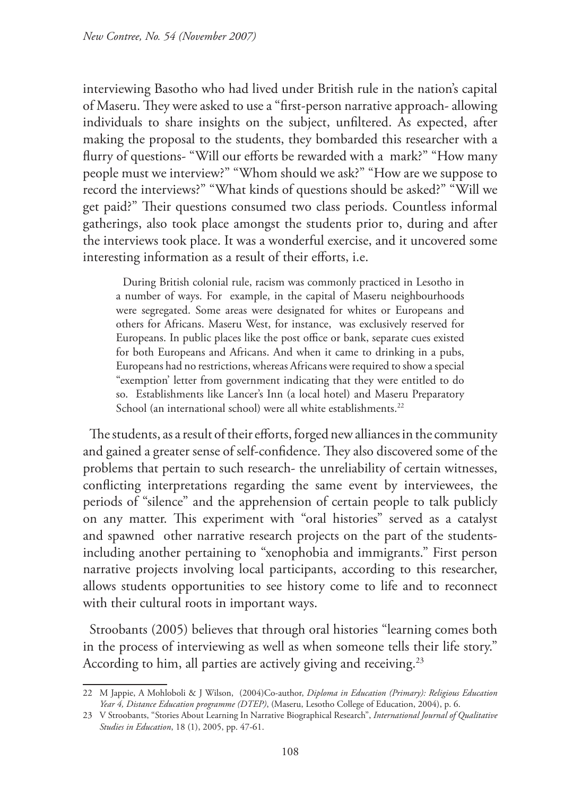interviewing Basotho who had lived under British rule in the nation's capital of Maseru. They were asked to use a "first-person narrative approach- allowing individuals to share insights on the subject, unfiltered. As expected, after making the proposal to the students, they bombarded this researcher with a flurry of questions- "Will our efforts be rewarded with a mark?" "How many people must we interview?" "Whom should we ask?" "How are we suppose to record the interviews?" "What kinds of questions should be asked?" "Will we get paid?" Their questions consumed two class periods. Countless informal gatherings, also took place amongst the students prior to, during and after the interviews took place. It was a wonderful exercise, and it uncovered some interesting information as a result of their efforts, i.e.

During British colonial rule, racism was commonly practiced in Lesotho in a number of ways. For example, in the capital of Maseru neighbourhoods were segregated. Some areas were designated for whites or Europeans and others for Africans. Maseru West, for instance, was exclusively reserved for Europeans. In public places like the post office or bank, separate cues existed for both Europeans and Africans. And when it came to drinking in a pubs, Europeans had no restrictions, whereas Africans were required to show a special "exemption' letter from government indicating that they were entitled to do so. Establishments like Lancer's Inn (a local hotel) and Maseru Preparatory School (an international school) were all white establishments.<sup>22</sup>

The students, as a result of their efforts, forged new alliances in the community and gained a greater sense of self-confidence. They also discovered some of the problems that pertain to such research- the unreliability of certain witnesses, conflicting interpretations regarding the same event by interviewees, the periods of "silence" and the apprehension of certain people to talk publicly on any matter. This experiment with "oral histories" served as a catalyst and spawned other narrative research projects on the part of the studentsincluding another pertaining to "xenophobia and immigrants." First person narrative projects involving local participants, according to this researcher, allows students opportunities to see history come to life and to reconnect with their cultural roots in important ways.

Stroobants (2005) believes that through oral histories "learning comes both in the process of interviewing as well as when someone tells their life story." According to him, all parties are actively giving and receiving.<sup>23</sup>

<sup>22</sup> M Jappie, A Mohloboli & J Wilson, (2004)Co-author, *Diploma in Education (Primary): Religious Education Year 4, Distance Education programme (DTEP)*, (Maseru, Lesotho College of Education, 2004), p. 6.

<sup>23</sup> V Stroobants, "Stories About Learning In Narrative Biographical Research", *International Journal of Qualitative Studies in Education*, 18 (1), 2005, pp. 47-61.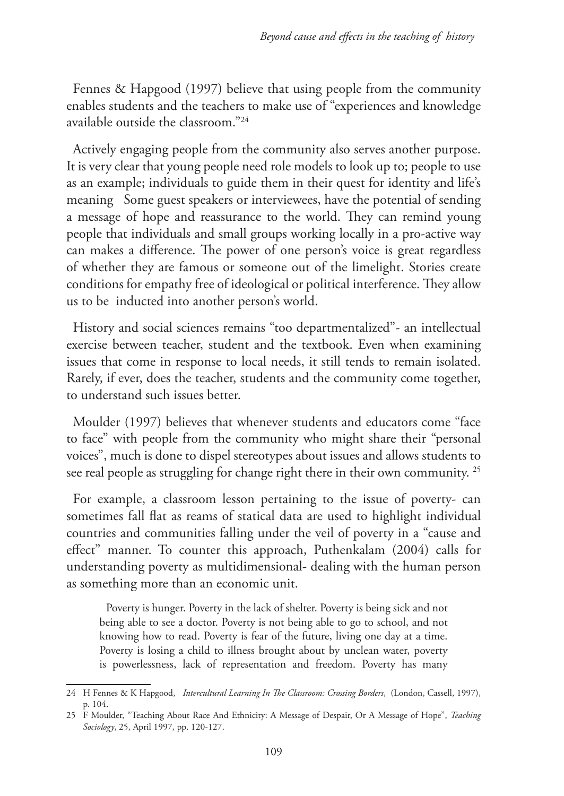Fennes & Hapgood (1997) believe that using people from the community enables students and the teachers to make use of "experiences and knowledge available outside the classroom."24

Actively engaging people from the community also serves another purpose. It is very clear that young people need role models to look up to; people to use as an example; individuals to guide them in their quest for identity and life's meaning Some guest speakers or interviewees, have the potential of sending a message of hope and reassurance to the world. They can remind young people that individuals and small groups working locally in a pro-active way can makes a difference. The power of one person's voice is great regardless of whether they are famous or someone out of the limelight. Stories create conditions for empathy free of ideological or political interference. They allow us to be inducted into another person's world.

History and social sciences remains "too departmentalized"- an intellectual exercise between teacher, student and the textbook. Even when examining issues that come in response to local needs, it still tends to remain isolated. Rarely, if ever, does the teacher, students and the community come together, to understand such issues better.

Moulder (1997) believes that whenever students and educators come "face to face" with people from the community who might share their "personal voices", much is done to dispel stereotypes about issues and allows students to see real people as struggling for change right there in their own community. 25

For example, a classroom lesson pertaining to the issue of poverty- can sometimes fall flat as reams of statical data are used to highlight individual countries and communities falling under the veil of poverty in a "cause and effect" manner. To counter this approach, Puthenkalam (2004) calls for understanding poverty as multidimensional- dealing with the human person as something more than an economic unit.

Poverty is hunger. Poverty in the lack of shelter. Poverty is being sick and not being able to see a doctor. Poverty is not being able to go to school, and not knowing how to read. Poverty is fear of the future, living one day at a time. Poverty is losing a child to illness brought about by unclean water, poverty is powerlessness, lack of representation and freedom. Poverty has many

<sup>24</sup> H Fennes & K Hapgood, *Intercultural Learning In The Classroom: Crossing Borders*, (London, Cassell, 1997), p. 104.

<sup>25</sup> F Moulder, "Teaching About Race And Ethnicity: A Message of Despair, Or A Message of Hope", *Teaching Sociology*, 25, April 1997, pp. 120-127.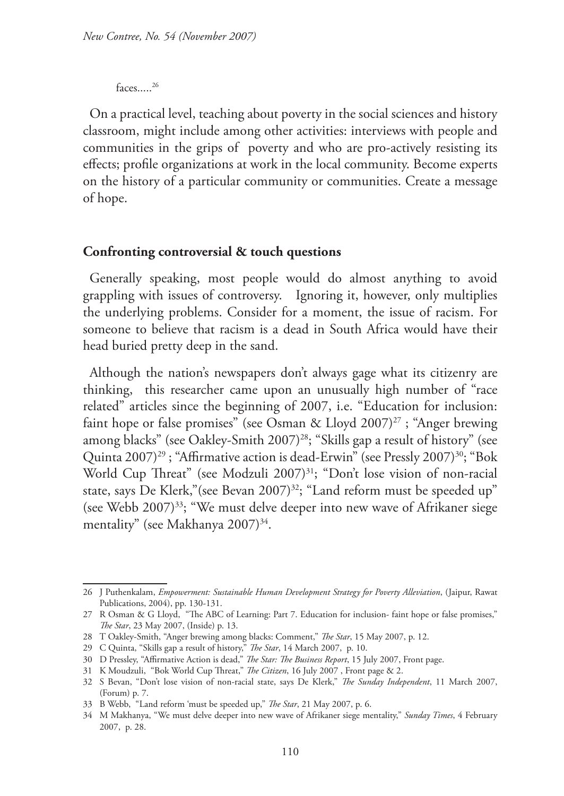faces.....26

On a practical level, teaching about poverty in the social sciences and history classroom, might include among other activities: interviews with people and communities in the grips of poverty and who are pro-actively resisting its effects; profile organizations at work in the local community. Become experts on the history of a particular community or communities. Create a message of hope.

### **Confronting controversial & touch questions**

Generally speaking, most people would do almost anything to avoid grappling with issues of controversy. Ignoring it, however, only multiplies the underlying problems. Consider for a moment, the issue of racism. For someone to believe that racism is a dead in South Africa would have their head buried pretty deep in the sand.

Although the nation's newspapers don't always gage what its citizenry are thinking, this researcher came upon an unusually high number of "race related" articles since the beginning of 2007, i.e. "Education for inclusion: faint hope or false promises" (see Osman & Lloyd 2007)<sup>27</sup>; "Anger brewing among blacks" (see Oakley-Smith 2007)<sup>28</sup>; "Skills gap a result of history" (see Quinta 2007)<sup>29</sup>; "Affirmative action is dead-Erwin" (see Pressly 2007)<sup>30</sup>; "Bok World Cup Threat" (see Modzuli 2007)<sup>31</sup>; "Don't lose vision of non-racial state, says De Klerk," (see Bevan 2007)<sup>32</sup>; "Land reform must be speeded up" (see Webb 2007)33; "We must delve deeper into new wave of Afrikaner siege mentality" (see Makhanya 2007)<sup>34</sup>.

<sup>26</sup> J Puthenkalam, *Empowerment: Sustainable Human Development Strategy for Poverty Alleviation*, (Jaipur, Rawat Publications, 2004), pp. 130-131.

<sup>27</sup> R Osman & G Lloyd, "The ABC of Learning: Part 7. Education for inclusion- faint hope or false promises," *The Star*, 23 May 2007, (Inside) p. 13.

<sup>28</sup> T Oakley-Smith, "Anger brewing among blacks: Comment," *The Star*, 15 May 2007, p. 12.

<sup>29</sup> C Quinta, "Skills gap a result of history," *The Star*, 14 March 2007, p. 10.

<sup>30</sup> D Pressley, "Affirmative Action is dead," *The Star: The Business Report*, 15 July 2007, Front page.

<sup>31</sup> K Moudzuli, "Bok World Cup Threat," *The Citizen*, 16 July 2007 , Front page & 2.

<sup>32</sup> S Bevan, "Don't lose vision of non-racial state, says De Klerk," *The Sunday Independent*, 11 March 2007, (Forum) p. 7.

<sup>33</sup> B Webb, "Land reform 'must be speeded up," *The Star*, 21 May 2007, p. 6.

<sup>34</sup> M Makhanya, "We must delve deeper into new wave of Afrikaner siege mentality," *Sunday Times*, 4 February 2007, p. 28.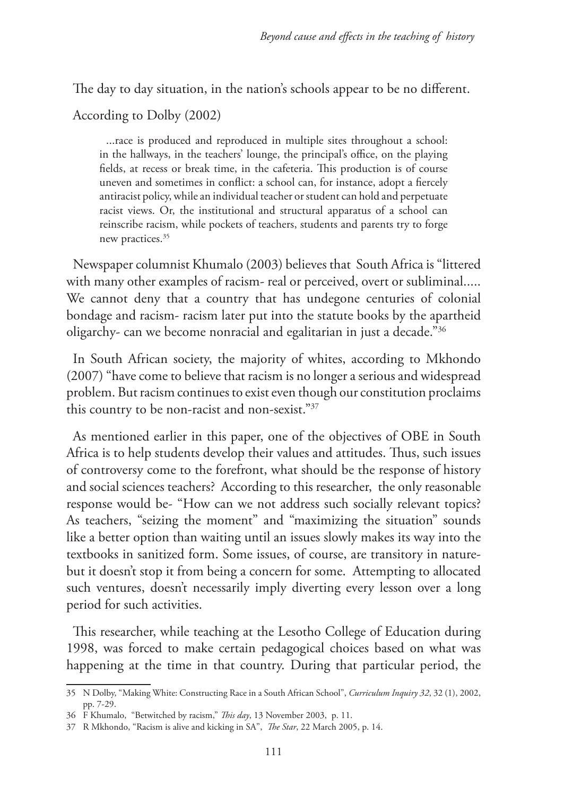The day to day situation, in the nation's schools appear to be no different.

According to Dolby (2002)

...race is produced and reproduced in multiple sites throughout a school: in the hallways, in the teachers' lounge, the principal's office, on the playing fields, at recess or break time, in the cafeteria. This production is of course uneven and sometimes in conflict: a school can, for instance, adopt a fiercely antiracist policy, while an individual teacher or student can hold and perpetuate racist views. Or, the institutional and structural apparatus of a school can reinscribe racism, while pockets of teachers, students and parents try to forge new practices.<sup>35</sup>

Newspaper columnist Khumalo (2003) believes that South Africa is "littered with many other examples of racism- real or perceived, overt or subliminal..... We cannot deny that a country that has undegone centuries of colonial bondage and racism- racism later put into the statute books by the apartheid oligarchy- can we become nonracial and egalitarian in just a decade."36

In South African society, the majority of whites, according to Mkhondo (2007) "have come to believe that racism is no longer a serious and widespread problem. But racism continues to exist even though our constitution proclaims this country to be non-racist and non-sexist."37

As mentioned earlier in this paper, one of the objectives of OBE in South Africa is to help students develop their values and attitudes. Thus, such issues of controversy come to the forefront, what should be the response of history and social sciences teachers? According to this researcher, the only reasonable response would be- "How can we not address such socially relevant topics? As teachers, "seizing the moment" and "maximizing the situation" sounds like a better option than waiting until an issues slowly makes its way into the textbooks in sanitized form. Some issues, of course, are transitory in naturebut it doesn't stop it from being a concern for some. Attempting to allocated such ventures, doesn't necessarily imply diverting every lesson over a long period for such activities.

This researcher, while teaching at the Lesotho College of Education during 1998, was forced to make certain pedagogical choices based on what was happening at the time in that country. During that particular period, the

<sup>35</sup> N Dolby, "Making White: Constructing Race in a South African School", *Curriculum Inquiry 32*, 32 (1), 2002, pp. 7-29.

<sup>36</sup> F Khumalo, "Betwitched by racism," *This day*, 13 November 2003, p. 11.

<sup>37</sup> R Mkhondo, "Racism is alive and kicking in SA", *The Star*, 22 March 2005, p. 14.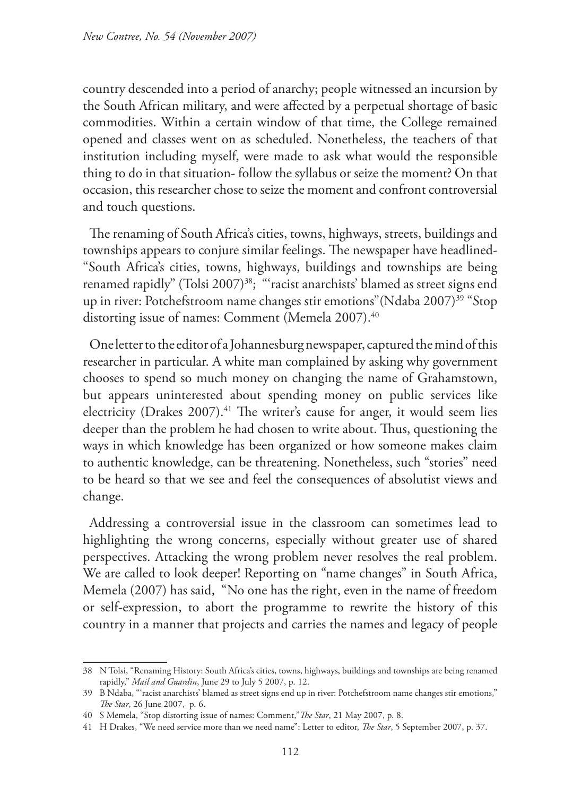country descended into a period of anarchy; people witnessed an incursion by the South African military, and were affected by a perpetual shortage of basic commodities. Within a certain window of that time, the College remained opened and classes went on as scheduled. Nonetheless, the teachers of that institution including myself, were made to ask what would the responsible thing to do in that situation- follow the syllabus or seize the moment? On that occasion, this researcher chose to seize the moment and confront controversial and touch questions.

The renaming of South Africa's cities, towns, highways, streets, buildings and townships appears to conjure similar feelings. The newspaper have headlined- "South Africa's cities, towns, highways, buildings and townships are being renamed rapidly" (Tolsi 2007)<sup>38</sup>; "'racist anarchists' blamed as street signs end up in river: Potchefstroom name changes stir emotions" (Ndaba 2007)<sup>39</sup> "Stop distorting issue of names: Comment (Memela 2007).<sup>40</sup>

One letter to the editor of a Johannesburg newspaper, captured the mind of this researcher in particular. A white man complained by asking why government chooses to spend so much money on changing the name of Grahamstown, but appears uninterested about spending money on public services like electricity (Drakes 2007).<sup>41</sup> The writer's cause for anger, it would seem lies deeper than the problem he had chosen to write about. Thus, questioning the ways in which knowledge has been organized or how someone makes claim to authentic knowledge, can be threatening. Nonetheless, such "stories" need to be heard so that we see and feel the consequences of absolutist views and change.

Addressing a controversial issue in the classroom can sometimes lead to highlighting the wrong concerns, especially without greater use of shared perspectives. Attacking the wrong problem never resolves the real problem. We are called to look deeper! Reporting on "name changes" in South Africa, Memela (2007) has said, "No one has the right, even in the name of freedom or self-expression, to abort the programme to rewrite the history of this country in a manner that projects and carries the names and legacy of people

<sup>38</sup> N Tolsi, "Renaming History: South Africa's cities, towns, highways, buildings and townships are being renamed rapidly," *Mail and Guardin*, June 29 to July 5 2007, p. 12.

<sup>39</sup> B Ndaba, "'racist anarchists' blamed as street signs end up in river: Potchefstroom name changes stir emotions," *The Star*, 26 June 2007, p. 6.

<sup>40</sup> S Memela, "Stop distorting issue of names: Comment,"*The Star*, 21 May 2007, p. 8.

<sup>41</sup> H Drakes, "We need service more than we need name": Letter to editor, *The Star*, 5 September 2007, p. 37.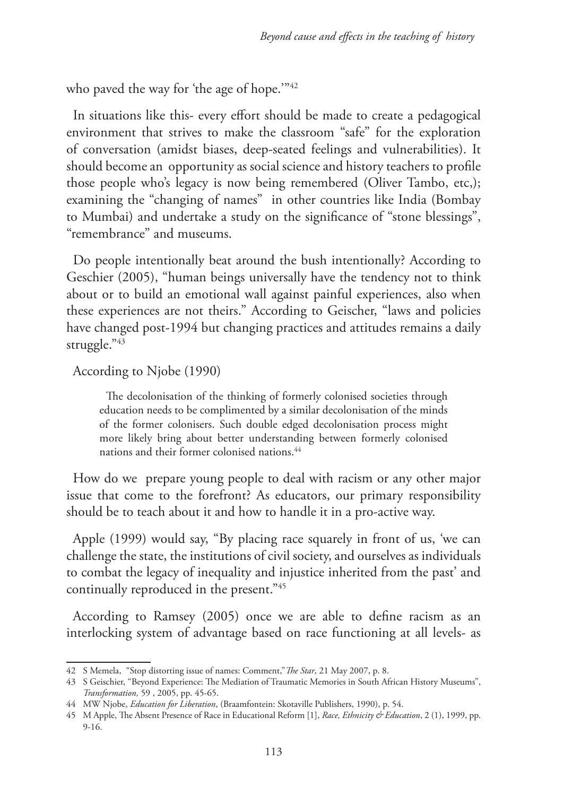who paved the way for 'the age of hope.'"<sup>42</sup>

In situations like this- every effort should be made to create a pedagogical environment that strives to make the classroom "safe" for the exploration of conversation (amidst biases, deep-seated feelings and vulnerabilities). It should become an opportunity as social science and history teachers to profile those people who's legacy is now being remembered (Oliver Tambo, etc,); examining the "changing of names" in other countries like India (Bombay to Mumbai) and undertake a study on the significance of "stone blessings", "remembrance" and museums.

Do people intentionally beat around the bush intentionally? According to Geschier (2005), "human beings universally have the tendency not to think about or to build an emotional wall against painful experiences, also when these experiences are not theirs." According to Geischer, "laws and policies have changed post-1994 but changing practices and attitudes remains a daily struggle."43

## According to Njobe (1990)

The decolonisation of the thinking of formerly colonised societies through education needs to be complimented by a similar decolonisation of the minds of the former colonisers. Such double edged decolonisation process might more likely bring about better understanding between formerly colonised nations and their former colonised nations.<sup>44</sup>

How do we prepare young people to deal with racism or any other major issue that come to the forefront? As educators, our primary responsibility should be to teach about it and how to handle it in a pro-active way.

Apple (1999) would say, "By placing race squarely in front of us, 'we can challenge the state, the institutions of civil society, and ourselves as individuals to combat the legacy of inequality and injustice inherited from the past' and continually reproduced in the present."45

According to Ramsey (2005) once we are able to define racism as an interlocking system of advantage based on race functioning at all levels- as

<sup>42</sup> S Memela, "Stop distorting issue of names: Comment,"*The Star*, 21 May 2007, p. 8.

<sup>43</sup> S Geischier, "Beyond Experience: The Mediation of Traumatic Memories in South African History Museums", *Transformation,* 59 , 2005, pp. 45-65.

<sup>44</sup> MW Njobe, *Education for Liberation*, (Braamfontein: Skotaville Publishers, 1990), p. 54.

<sup>45</sup> M Apple, The Absent Presence of Race in Educational Reform [1], *Race, Ethnicity & Education*, 2 (1), 1999, pp. 9-16.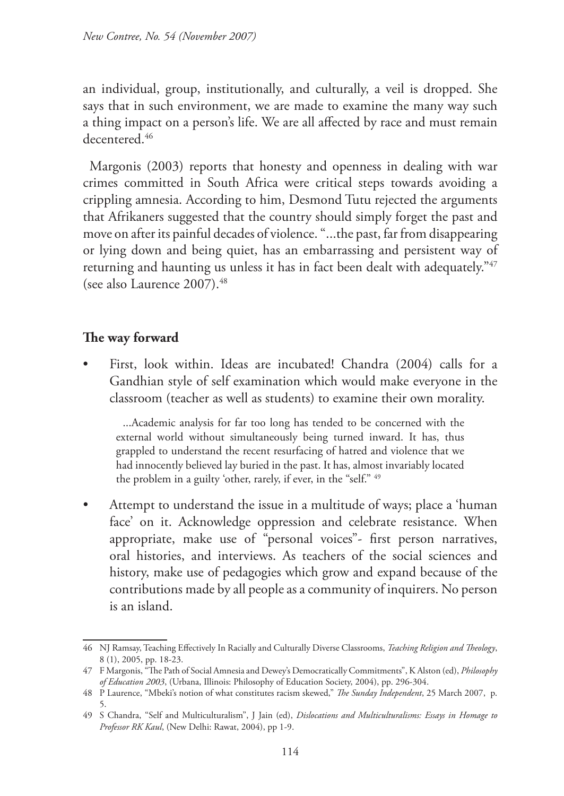an individual, group, institutionally, and culturally, a veil is dropped. She says that in such environment, we are made to examine the many way such a thing impact on a person's life. We are all affected by race and must remain decentered.46

Margonis (2003) reports that honesty and openness in dealing with war crimes committed in South Africa were critical steps towards avoiding a crippling amnesia. According to him, Desmond Tutu rejected the arguments that Afrikaners suggested that the country should simply forget the past and move on after its painful decades of violence. "...the past, far from disappearing or lying down and being quiet, has an embarrassing and persistent way of returning and haunting us unless it has in fact been dealt with adequately."47 (see also Laurence 2007).48

# **The way forward**

• First, look within. Ideas are incubated! Chandra (2004) calls for a Gandhian style of self examination which would make everyone in the classroom (teacher as well as students) to examine their own morality.

...Academic analysis for far too long has tended to be concerned with the external world without simultaneously being turned inward. It has, thus grappled to understand the recent resurfacing of hatred and violence that we had innocently believed lay buried in the past. It has, almost invariably located the problem in a guilty 'other, rarely, if ever, in the "self." 49

• Attempt to understand the issue in a multitude of ways; place a 'human face' on it. Acknowledge oppression and celebrate resistance. When appropriate, make use of "personal voices"- first person narratives, oral histories, and interviews. As teachers of the social sciences and history, make use of pedagogies which grow and expand because of the contributions made by all people as a community of inquirers. No person is an island.

<sup>46</sup> NJ Ramsay, Teaching Effectively In Racially and Culturally Diverse Classrooms, *Teaching Religion and Theology*, 8 (1), 2005, pp. 18-23.

<sup>47</sup> F Margonis, "The Path of Social Amnesia and Dewey's Democratically Commitments", K Alston (ed), *Philosophy of Education 2003*, (Urbana, Illinois: Philosophy of Education Society, 2004), pp. 296-304.

<sup>48</sup> P Laurence, "Mbeki's notion of what constitutes racism skewed," *The Sunday Independent*, 25 March 2007, p. 5.

<sup>49</sup> S Chandra, "Self and Multiculturalism", J Jain (ed), *Dislocations and Multiculturalisms: Essays in Homage to Professor RK Kaul*, (New Delhi: Rawat, 2004), pp 1-9.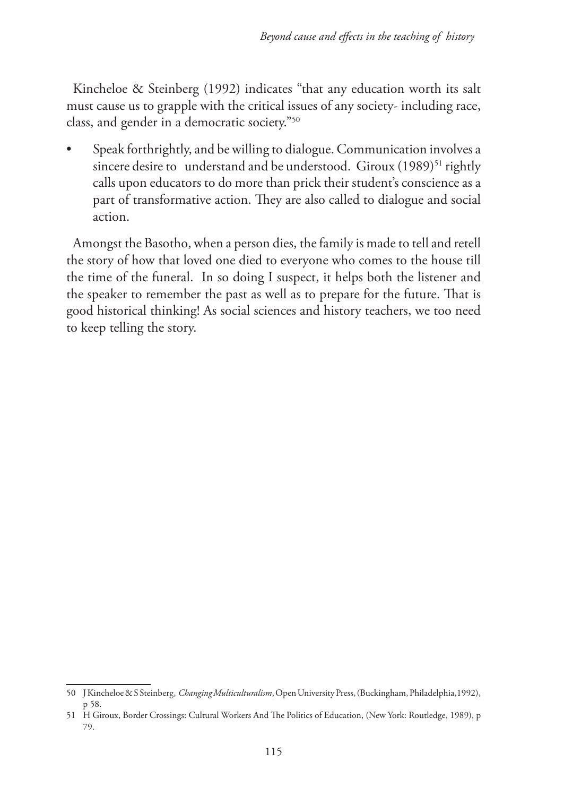Kincheloe & Steinberg (1992) indicates "that any education worth its salt must cause us to grapple with the critical issues of any society- including race, class, and gender in a democratic society."50

• Speak forthrightly, and be willing to dialogue. Communication involves a sincere desire to understand and be understood. Giroux  $(1989)^{51}$  rightly calls upon educators to do more than prick their student's conscience as a part of transformative action. They are also called to dialogue and social action.

Amongst the Basotho, when a person dies, the family is made to tell and retell the story of how that loved one died to everyone who comes to the house till the time of the funeral. In so doing I suspect, it helps both the listener and the speaker to remember the past as well as to prepare for the future. That is good historical thinking! As social sciences and history teachers, we too need to keep telling the story.

<sup>50</sup> J Kincheloe & S Steinberg, *Changing Multiculturalism*, Open University Press, (Buckingham, Philadelphia,1992), p 58.

<sup>51</sup> H Giroux, Border Crossings: Cultural Workers And The Politics of Education, (New York: Routledge, 1989), p 79.